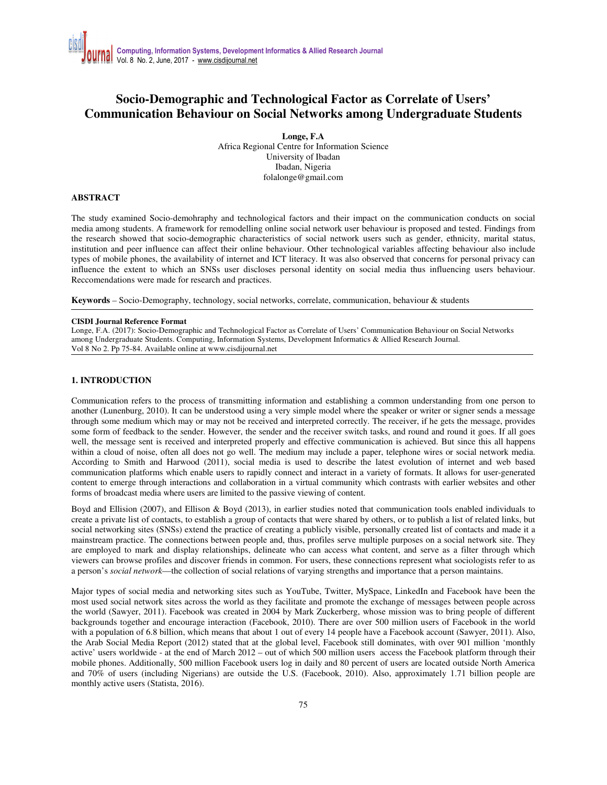## **Socio-Demographic and Technological Factor as Correlate of Users' Communication Behaviour on Social Networks among Undergraduate Students**

**Longe, F.A**  Africa Regional Centre for Information Science University of Ibadan Ibadan, Nigeria folalonge@gmail.com

## **ABSTRACT**

The study examined Socio-demohraphy and technological factors and their impact on the communication conducts on social media among students. A framework for remodelling online social network user behaviour is proposed and tested. Findings from the research showed that socio-demographic characteristics of social network users such as gender, ethnicity, marital status, institution and peer influence can affect their online behaviour. Other technological variables affecting behaviour also include types of mobile phones, the availability of internet and ICT literacy. It was also observed that concerns for personal privacy can influence the extent to which an SNSs user discloses personal identity on social media thus influencing users behaviour. Reccomendations were made for research and practices.

**Keywords** *–* Socio-Demography, technology, social networks, correlate, communication, behaviour & students

#### **CISDI Journal Reference Format**

Longe, F.A. (2017): Socio-Demographic and Technological Factor as Correlate of Users' Communication Behaviour on Social Networks among Undergraduate Students. Computing, Information Systems, Development Informatics & Allied Research Journal. Vol 8 No 2. Pp 75-84. Available online at www.cisdijournal.net

## **1. INTRODUCTION**

Communication refers to the process of transmitting information and establishing a common understanding from one person to another (Lunenburg, 2010). It can be understood using a very simple model where the speaker or writer or signer sends a message through some medium which may or may not be received and interpreted correctly. The receiver, if he gets the message, provides some form of feedback to the sender. However, the sender and the receiver switch tasks, and round and round it goes. If all goes well, the message sent is received and interpreted properly and effective communication is achieved. But since this all happens within a cloud of noise, often all does not go well. The medium may include a paper, telephone wires or social network media. According to Smith and Harwood (2011), social media is used to describe the latest evolution of internet and web based communication platforms which enable users to rapidly connect and interact in a variety of formats. It allows for user-generated content to emerge through interactions and collaboration in a virtual community which contrasts with earlier websites and other forms of broadcast media where users are limited to the passive viewing of content.

Boyd and Ellision (2007), and Ellison & Boyd (2013), in earlier studies noted that communication tools enabled individuals to create a private list of contacts, to establish a group of contacts that were shared by others, or to publish a list of related links, but social networking sites (SNSs) extend the practice of creating a publicly visible, personally created list of contacts and made it a mainstream practice. The connections between people and, thus, profiles serve multiple purposes on a social network site. They are employed to mark and display relationships, delineate who can access what content, and serve as a filter through which viewers can browse profiles and discover friends in common. For users, these connections represent what sociologists refer to as a person's *social network*—the collection of social relations of varying strengths and importance that a person maintains.

Major types of social media and networking sites such as YouTube, Twitter, MySpace, LinkedIn and Facebook have been the most used social network sites across the world as they facilitate and promote the exchange of messages between people across the world (Sawyer, 2011). Facebook was created in 2004 by Mark Zuckerberg, whose mission was to bring people of different backgrounds together and encourage interaction (Facebook, 2010). There are over 500 million users of Facebook in the world with a population of 6.8 billion, which means that about 1 out of every 14 people have a Facebook account (Sawyer, 2011). Also, the Arab Social Media Report (2012) stated that at the global level, Facebook still dominates, with over 901 million 'monthly active' users worldwide - at the end of March 2012 – out of which 500 million users access the Facebook platform through their mobile phones. Additionally, 500 million Facebook users log in daily and 80 percent of users are located outside North America and 70% of users (including Nigerians) are outside the U.S. (Facebook, 2010). Also, approximately 1.71 billion people are monthly active users (Statista, 2016).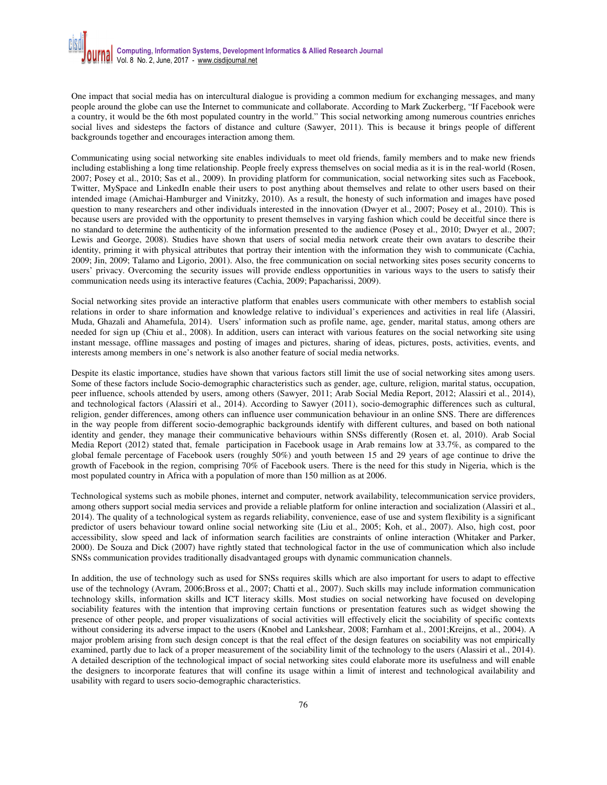One impact that social media has on intercultural dialogue is providing a common medium for exchanging messages, and many people around the globe can use the Internet to communicate and collaborate. According to Mark Zuckerberg, "If Facebook were a country, it would be the 6th most populated country in the world." This social networking among numerous countries enriches social lives and sidesteps the factors of distance and culture (Sawyer, 2011). This is because it brings people of different backgrounds together and encourages interaction among them.

Communicating using social networking site enables individuals to meet old friends, family members and to make new friends including establishing a long time relationship. People freely express themselves on social media as it is in the real-world (Rosen, 2007; Posey et al., 2010; Sas et al., 2009). In providing platform for communication, social networking sites such as Facebook, Twitter, MySpace and LinkedIn enable their users to post anything about themselves and relate to other users based on their intended image (Amichai-Hamburger and Vinitzky, 2010). As a result, the honesty of such information and images have posed question to many researchers and other individuals interested in the innovation (Dwyer et al., 2007; Posey et al., 2010). This is because users are provided with the opportunity to present themselves in varying fashion which could be deceitful since there is no standard to determine the authenticity of the information presented to the audience (Posey et al., 2010; Dwyer et al., 2007; Lewis and George, 2008). Studies have shown that users of social media network create their own avatars to describe their identity, priming it with physical attributes that portray their intention with the information they wish to communicate (Cachia, 2009; Jin, 2009; Talamo and Ligorio, 2001). Also, the free communication on social networking sites poses security concerns to users' privacy. Overcoming the security issues will provide endless opportunities in various ways to the users to satisfy their communication needs using its interactive features (Cachia, 2009; Papacharissi, 2009).

Social networking sites provide an interactive platform that enables users communicate with other members to establish social relations in order to share information and knowledge relative to individual's experiences and activities in real life (Alassiri, Muda, Ghazali and Ahamefula, 2014). Users' information such as profile name, age, gender, marital status, among others are needed for sign up (Chiu et al., 2008). In addition, users can interact with various features on the social networking site using instant message, offline massages and posting of images and pictures, sharing of ideas, pictures, posts, activities, events, and interests among members in one's network is also another feature of social media networks.

Despite its elastic importance, studies have shown that various factors still limit the use of social networking sites among users. Some of these factors include Socio-demographic characteristics such as gender, age, culture, religion, marital status, occupation, peer influence, schools attended by users, among others (Sawyer, 2011; Arab Social Media Report, 2012; Alassiri et al., 2014), and technological factors (Alassiri et al., 2014). According to Sawyer (2011), socio-demographic differences such as cultural, religion, gender differences, among others can influence user communication behaviour in an online SNS. There are differences in the way people from different socio-demographic backgrounds identify with different cultures, and based on both national identity and gender, they manage their communicative behaviours within SNSs differently (Rosen et. al, 2010). Arab Social Media Report (2012) stated that, female participation in Facebook usage in Arab remains low at 33.7%, as compared to the global female percentage of Facebook users (roughly 50%) and youth between 15 and 29 years of age continue to drive the growth of Facebook in the region, comprising 70% of Facebook users. There is the need for this study in Nigeria, which is the most populated country in Africa with a population of more than 150 million as at 2006.

Technological systems such as mobile phones, internet and computer, network availability, telecommunication service providers, among others support social media services and provide a reliable platform for online interaction and socialization (Alassiri et al., 2014). The quality of a technological system as regards reliability, convenience, ease of use and system flexibility is a significant predictor of users behaviour toward online social networking site (Liu et al., 2005; Koh, et al., 2007). Also, high cost, poor accessibility, slow speed and lack of information search facilities are constraints of online interaction (Whitaker and Parker, 2000). De Souza and Dick (2007) have rightly stated that technological factor in the use of communication which also include SNSs communication provides traditionally disadvantaged groups with dynamic communication channels.

In addition, the use of technology such as used for SNSs requires skills which are also important for users to adapt to effective use of the technology (Avram, 2006;Bross et al., 2007; Chatti et al., 2007). Such skills may include information communication technology skills, information skills and ICT literacy skills. Most studies on social networking have focused on developing sociability features with the intention that improving certain functions or presentation features such as widget showing the presence of other people, and proper visualizations of social activities will effectively elicit the sociability of specific contexts without considering its adverse impact to the users (Knobel and Lankshear, 2008; Farnham et al., 2001;Kreijns, et al., 2004). A major problem arising from such design concept is that the real effect of the design features on sociability was not empirically examined, partly due to lack of a proper measurement of the sociability limit of the technology to the users (Alassiri et al., 2014). A detailed description of the technological impact of social networking sites could elaborate more its usefulness and will enable the designers to incorporate features that will confine its usage within a limit of interest and technological availability and usability with regard to users socio-demographic characteristics.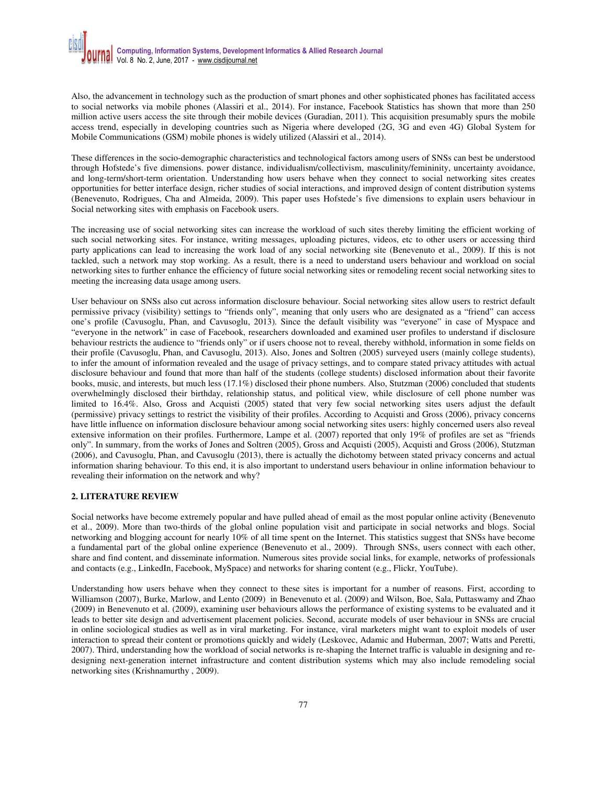Also, the advancement in technology such as the production of smart phones and other sophisticated phones has facilitated access to social networks via mobile phones (Alassiri et al., 2014). For instance, Facebook Statistics has shown that more than 250 million active users access the site through their mobile devices (Guradian, 2011). This acquisition presumably spurs the mobile access trend, especially in developing countries such as Nigeria where developed (2G, 3G and even 4G) Global System for Mobile Communications (GSM) mobile phones is widely utilized (Alassiri et al., 2014).

These differences in the socio-demographic characteristics and technological factors among users of SNSs can best be understood through Hofstede's five dimensions. power distance, individualism/collectivism, masculinity/femininity, uncertainty avoidance, and long-term/short-term orientation. Understanding how users behave when they connect to social networking sites creates opportunities for better interface design, richer studies of social interactions, and improved design of content distribution systems (Benevenuto, Rodrigues, Cha and Almeida, 2009). This paper uses Hofstede's five dimensions to explain users behaviour in Social networking sites with emphasis on Facebook users.

The increasing use of social networking sites can increase the workload of such sites thereby limiting the efficient working of such social networking sites. For instance, writing messages, uploading pictures, videos, etc to other users or accessing third party applications can lead to increasing the work load of any social networking site (Benevenuto et al., 2009). If this is not tackled, such a network may stop working. As a result, there is a need to understand users behaviour and workload on social networking sites to further enhance the efficiency of future social networking sites or remodeling recent social networking sites to meeting the increasing data usage among users.

User behaviour on SNSs also cut across information disclosure behaviour. Social networking sites allow users to restrict default permissive privacy (visibility) settings to "friends only", meaning that only users who are designated as a "friend" can access one's profile (Cavusoglu, Phan, and Cavusoglu, 2013). Since the default visibility was "everyone" in case of Myspace and "everyone in the network" in case of Facebook, researchers downloaded and examined user profiles to understand if disclosure behaviour restricts the audience to "friends only" or if users choose not to reveal, thereby withhold, information in some fields on their profile (Cavusoglu, Phan, and Cavusoglu, 2013). Also, Jones and Soltren (2005) surveyed users (mainly college students), to infer the amount of information revealed and the usage of privacy settings, and to compare stated privacy attitudes with actual disclosure behaviour and found that more than half of the students (college students) disclosed information about their favorite books, music, and interests, but much less (17.1%) disclosed their phone numbers. Also, Stutzman (2006) concluded that students overwhelmingly disclosed their birthday, relationship status, and political view, while disclosure of cell phone number was limited to 16.4%. Also, Gross and Acquisti (2005) stated that very few social networking sites users adjust the default (permissive) privacy settings to restrict the visibility of their profiles. According to Acquisti and Gross (2006), privacy concerns have little influence on information disclosure behaviour among social networking sites users: highly concerned users also reveal extensive information on their profiles. Furthermore, Lampe et al. (2007) reported that only 19% of profiles are set as "friends only". In summary, from the works of Jones and Soltren (2005), Gross and Acquisti (2005), Acquisti and Gross (2006), Stutzman (2006), and Cavusoglu, Phan, and Cavusoglu (2013), there is actually the dichotomy between stated privacy concerns and actual information sharing behaviour. To this end, it is also important to understand users behaviour in online information behaviour to revealing their information on the network and why?

## **2. LITERATURE REVIEW**

Social networks have become extremely popular and have pulled ahead of email as the most popular online activity (Benevenuto et al., 2009). More than two-thirds of the global online population visit and participate in social networks and blogs. Social networking and blogging account for nearly 10% of all time spent on the Internet. This statistics suggest that SNSs have become a fundamental part of the global online experience (Benevenuto et al., 2009). Through SNSs, users connect with each other, share and find content, and disseminate information. Numerous sites provide social links, for example, networks of professionals and contacts (e.g., LinkedIn, Facebook, MySpace) and networks for sharing content (e.g., Flickr, YouTube).

Understanding how users behave when they connect to these sites is important for a number of reasons. First, according to Williamson (2007), Burke, Marlow, and Lento (2009) in Benevenuto et al. (2009) and Wilson, Boe, Sala, Puttaswamy and Zhao (2009) in Benevenuto et al. (2009), examining user behaviours allows the performance of existing systems to be evaluated and it leads to better site design and advertisement placement policies. Second, accurate models of user behaviour in SNSs are crucial in online sociological studies as well as in viral marketing. For instance, viral marketers might want to exploit models of user interaction to spread their content or promotions quickly and widely (Leskovec, Adamic and Huberman, 2007; Watts and Peretti, 2007). Third, understanding how the workload of social networks is re-shaping the Internet traffic is valuable in designing and redesigning next-generation internet infrastructure and content distribution systems which may also include remodeling social networking sites (Krishnamurthy , 2009).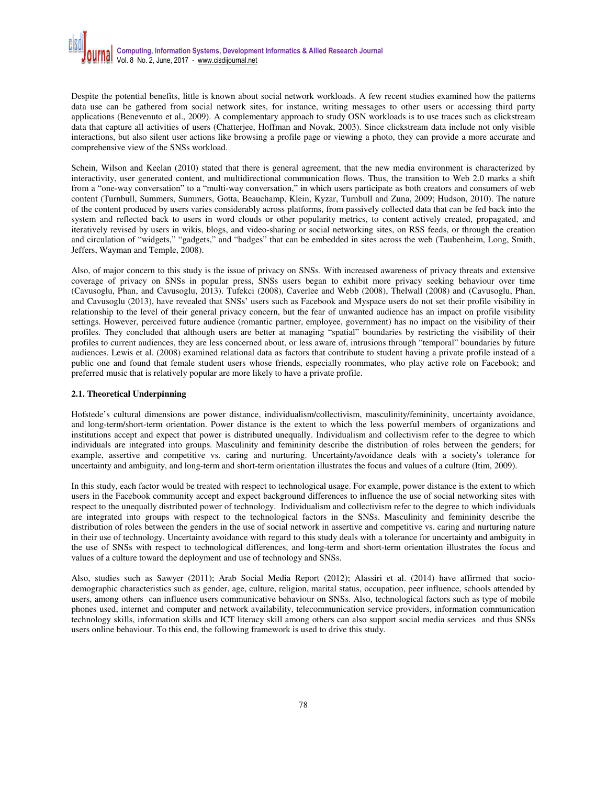Despite the potential benefits, little is known about social network workloads. A few recent studies examined how the patterns data use can be gathered from social network sites, for instance, writing messages to other users or accessing third party applications (Benevenuto et al., 2009). A complementary approach to study OSN workloads is to use traces such as clickstream data that capture all activities of users (Chatterjee, Hoffman and Novak, 2003). Since clickstream data include not only visible interactions, but also silent user actions like browsing a profile page or viewing a photo, they can provide a more accurate and comprehensive view of the SNSs workload.

Schein, Wilson and Keelan (2010) stated that there is general agreement, that the new media environment is characterized by interactivity, user generated content, and multidirectional communication flows. Thus, the transition to Web 2.0 marks a shift from a "one-way conversation" to a "multi-way conversation," in which users participate as both creators and consumers of web content (Turnbull, Summers, Summers, Gotta, Beauchamp, Klein, Kyzar, Turnbull and Zuna, 2009; Hudson, 2010). The nature of the content produced by users varies considerably across platforms, from passively collected data that can be fed back into the system and reflected back to users in word clouds or other popularity metrics, to content actively created, propagated, and iteratively revised by users in wikis, blogs, and video-sharing or social networking sites, on RSS feeds, or through the creation and circulation of "widgets," "gadgets," and "badges" that can be embedded in sites across the web (Taubenheim, Long, Smith, Jeffers, Wayman and Temple, 2008).

Also, of major concern to this study is the issue of privacy on SNSs. With increased awareness of privacy threats and extensive coverage of privacy on SNSs in popular press, SNSs users began to exhibit more privacy seeking behaviour over time (Cavusoglu, Phan, and Cavusoglu, 2013). Tufekci (2008), Caverlee and Webb (2008), Thelwall (2008) and (Cavusoglu, Phan, and Cavusoglu (2013), have revealed that SNSs' users such as Facebook and Myspace users do not set their profile visibility in relationship to the level of their general privacy concern, but the fear of unwanted audience has an impact on profile visibility settings. However, perceived future audience (romantic partner, employee, government) has no impact on the visibility of their profiles. They concluded that although users are better at managing "spatial" boundaries by restricting the visibility of their profiles to current audiences, they are less concerned about, or less aware of, intrusions through "temporal" boundaries by future audiences. Lewis et al. (2008) examined relational data as factors that contribute to student having a private profile instead of a public one and found that female student users whose friends, especially roommates, who play active role on Facebook; and preferred music that is relatively popular are more likely to have a private profile.

#### **2.1. Theoretical Underpinning**

Hofstede's cultural dimensions are power distance, individualism/collectivism, masculinity/femininity, uncertainty avoidance, and long-term/short-term orientation. Power distance is the extent to which the less powerful members of organizations and institutions accept and expect that power is distributed unequally. Individualism and collectivism refer to the degree to which individuals are integrated into groups. Masculinity and femininity describe the distribution of roles between the genders; for example, assertive and competitive vs. caring and nurturing. Uncertainty/avoidance deals with a society's tolerance for uncertainty and ambiguity, and long-term and short-term orientation illustrates the focus and values of a culture (Itim, 2009).

In this study, each factor would be treated with respect to technological usage. For example, power distance is the extent to which users in the Facebook community accept and expect background differences to influence the use of social networking sites with respect to the unequally distributed power of technology. Individualism and collectivism refer to the degree to which individuals are integrated into groups with respect to the technological factors in the SNSs. Masculinity and femininity describe the distribution of roles between the genders in the use of social network in assertive and competitive vs. caring and nurturing nature in their use of technology. Uncertainty avoidance with regard to this study deals with a tolerance for uncertainty and ambiguity in the use of SNSs with respect to technological differences, and long-term and short-term orientation illustrates the focus and values of a culture toward the deployment and use of technology and SNSs.

Also, studies such as Sawyer (2011); Arab Social Media Report (2012); Alassiri et al. (2014) have affirmed that sociodemographic characteristics such as gender, age, culture, religion, marital status, occupation, peer influence, schools attended by users, among others can influence users communicative behaviour on SNSs. Also, technological factors such as type of mobile phones used, internet and computer and network availability, telecommunication service providers, information communication technology skills, information skills and ICT literacy skill among others can also support social media services and thus SNSs users online behaviour. To this end, the following framework is used to drive this study.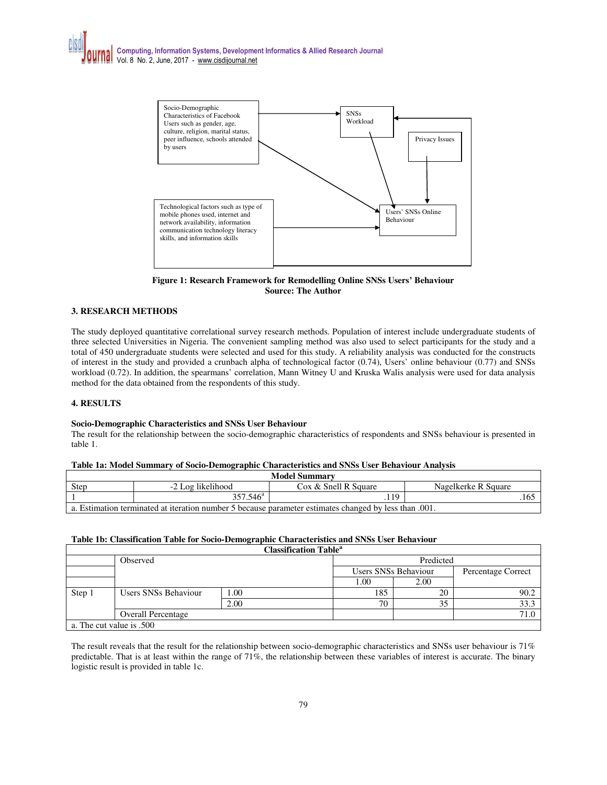

**Figure 1: Research Framework for Remodelling Online SNSs Users' Behaviour Source: The Author** 

## **3. RESEARCH METHODS**

The study deployed quantitative correlational survey research methods. Population of interest include undergraduate students of three selected Universities in Nigeria. The convenient sampling method was also used to select participants for the study and a total of 450 undergraduate students were selected and used for this study. A reliability analysis was conducted for the constructs of interest in the study and provided a crunbach alpha of technological factor (0.74), Users' online behaviour (0.77) and SNSs workload (0.72). In addition, the spearmans' correlation, Mann Witney U and Kruska Walis analysis were used for data analysis method for the data obtained from the respondents of this study.

## **4. RESULTS**

#### **Socio-Demographic Characteristics and SNSs User Behaviour**

The result for the relationship between the socio-demographic characteristics of respondents and SNSs behaviour is presented in table 1.

#### **Table 1a: Model Summary of Socio-Demographic Characteristics and SNSs User Behaviour Analysis**

| <b>Model Summary</b>                                                                                  |                      |                      |                     |  |  |  |  |  |
|-------------------------------------------------------------------------------------------------------|----------------------|----------------------|---------------------|--|--|--|--|--|
| Step                                                                                                  | -2 Log likelihood    | Cox & Snell R Square | Nagelkerke R Square |  |  |  |  |  |
|                                                                                                       | 357.546 <sup>a</sup> | 19                   | .165                |  |  |  |  |  |
| a. Estimation terminated at iteration number 5 because parameter estimates changed by less than .001. |                      |                      |                     |  |  |  |  |  |

#### **Table 1b: Classification Table for Socio-Demographic Characteristics and SNSs User Behaviour**

|                          |                           |      | <b>Classification Table<sup>a</sup></b> |           |                    |      |  |
|--------------------------|---------------------------|------|-----------------------------------------|-----------|--------------------|------|--|
|                          | Observed                  |      |                                         | Predicted |                    |      |  |
|                          |                           |      | Users SNSs Behaviour                    |           | Percentage Correct |      |  |
|                          |                           |      |                                         | 1.00      | 2.00               |      |  |
| Step 1                   | Users SNSs Behaviour      | 1.00 |                                         | 185       | 20                 | 90.2 |  |
|                          |                           | 2.00 |                                         | 70        | 35                 | 33.3 |  |
|                          | <b>Overall Percentage</b> |      |                                         |           |                    | 71.0 |  |
| a. The cut value is .500 |                           |      |                                         |           |                    |      |  |

The result reveals that the result for the relationship between socio-demographic characteristics and SNSs user behaviour is 71% predictable. That is at least within the range of 71%, the relationship between these variables of interest is accurate. The binary logistic result is provided in table 1c.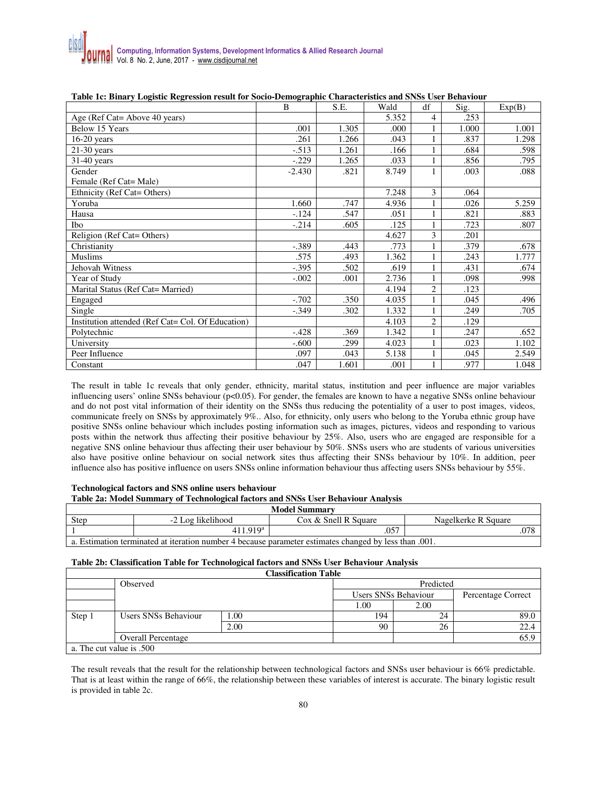| able for Blinary Logislat regression result for Socio Demographic Characteristics and Stribs Coef Benaviour | B        | S.E.  | Wald  | df | Sig.  | Exp(B) |
|-------------------------------------------------------------------------------------------------------------|----------|-------|-------|----|-------|--------|
| Age (Ref Cat= Above 40 years)                                                                               |          |       | 5.352 | 4  | .253  |        |
| Below 15 Years                                                                                              | .001     | 1.305 | .000  |    | 1.000 | 1.001  |
| $16-20$ years                                                                                               | .261     | 1.266 | .043  |    | .837  | 1.298  |
| $21-30$ years                                                                                               | $-.513$  | 1.261 | .166  |    | .684  | .598   |
| $31-40$ years                                                                                               | $-.229$  | 1.265 | .033  |    | .856  | .795   |
| Gender                                                                                                      | $-2.430$ | .821  | 8.749 |    | .003  | .088   |
| Female (Ref Cat= Male)                                                                                      |          |       |       |    |       |        |
| Ethnicity (Ref Cat= Others)                                                                                 |          |       | 7.248 | 3  | .064  |        |
| Yoruba                                                                                                      | 1.660    | .747  | 4.936 |    | .026  | 5.259  |
| Hausa                                                                                                       | $-124$   | .547  | .051  |    | .821  | .883   |
| Ibo                                                                                                         | $-.214$  | .605  | .125  |    | .723  | .807   |
| Religion (Ref Cat= Others)                                                                                  |          |       | 4.627 | 3  | .201  |        |
| Christianity                                                                                                | $-.389$  | .443  | .773  |    | .379  | .678   |
| <b>Muslims</b>                                                                                              | .575     | .493  | 1.362 |    | .243  | 1.777  |
| Jehovah Witness                                                                                             | $-.395$  | .502  | .619  |    | .431  | .674   |
| Year of Study                                                                                               | $-.002$  | .001  | 2.736 |    | .098  | .998   |
| Marital Status (Ref Cat= Married)                                                                           |          |       | 4.194 | 2  | .123  |        |
| Engaged                                                                                                     | $-.702$  | .350  | 4.035 |    | .045  | .496   |
| Single                                                                                                      | $-.349$  | .302  | 1.332 |    | .249  | .705   |
| Institution attended (Ref Cat= Col. Of Education)                                                           |          |       | 4.103 | 2  | .129  |        |
| Polytechnic                                                                                                 | $-.428$  | .369  | 1.342 |    | .247  | .652   |
| University                                                                                                  | $-.600$  | .299  | 4.023 |    | .023  | 1.102  |
| Peer Influence                                                                                              | .097     | .043  | 5.138 |    | .045  | 2.549  |
| Constant                                                                                                    | .047     | 1.601 | .001  |    | .977  | 1.048  |

## **Table 1c: Binary Logistic Regression result for Socio-Demographic Characteristics and SNSs User Behaviour**

The result in table 1c reveals that only gender, ethnicity, marital status, institution and peer influence are major variables influencing users' online SNSs behaviour (p<0.05). For gender, the females are known to have a negative SNSs online behaviour and do not post vital information of their identity on the SNSs thus reducing the potentiality of a user to post images, videos, communicate freely on SNSs by approximately 9%.. Also, for ethnicity, only users who belong to the Yoruba ethnic group have positive SNSs online behaviour which includes posting information such as images, pictures, videos and responding to various posts within the network thus affecting their positive behaviour by 25%. Also, users who are engaged are responsible for a negative SNS online behaviour thus affecting their user behaviour by 50%. SNSs users who are students of various universities also have positive online behaviour on social network sites thus affecting their SNSs behaviour by 10%. In addition, peer influence also has positive influence on users SNSs online information behaviour thus affecting users SNSs behaviour by 55%.

#### **Technological factors and SNS online users behaviour**

## **Table 2a: Model Summary of Technological factors and SNSs User Behaviour Analysis**

| <b>Model Summary</b>                                                                                  |                      |                      |                     |  |  |  |  |
|-------------------------------------------------------------------------------------------------------|----------------------|----------------------|---------------------|--|--|--|--|
| Step                                                                                                  | -2 Log likelihood    | Cox & Snell R Square | Nagelkerke R Square |  |  |  |  |
|                                                                                                       | 411.919 <sup>a</sup> | 057                  | .078                |  |  |  |  |
| a. Estimation terminated at iteration number 4 because parameter estimates changed by less than 0.01. |                      |                      |                     |  |  |  |  |

## **Table 2b: Classification Table for Technological factors and SNSs User Behaviour Analysis**

|                          |                           |      | <b>Classification Table</b> |           |                    |      |  |
|--------------------------|---------------------------|------|-----------------------------|-----------|--------------------|------|--|
|                          | Observed                  |      |                             | Predicted |                    |      |  |
|                          |                           |      | Users SNSs Behaviour        |           | Percentage Correct |      |  |
|                          |                           |      |                             | 1.00      | 2.00               |      |  |
| Step 1                   | Users SNSs Behaviour      | 1.00 |                             | 194       | 24                 | 89.0 |  |
|                          |                           | 2.00 |                             | 90        | 26                 | 22.4 |  |
|                          | <b>Overall Percentage</b> |      |                             |           |                    | 65.9 |  |
| a. The cut value is .500 |                           |      |                             |           |                    |      |  |

The result reveals that the result for the relationship between technological factors and SNSs user behaviour is 66% predictable. That is at least within the range of 66%, the relationship between these variables of interest is accurate. The binary logistic result is provided in table 2c.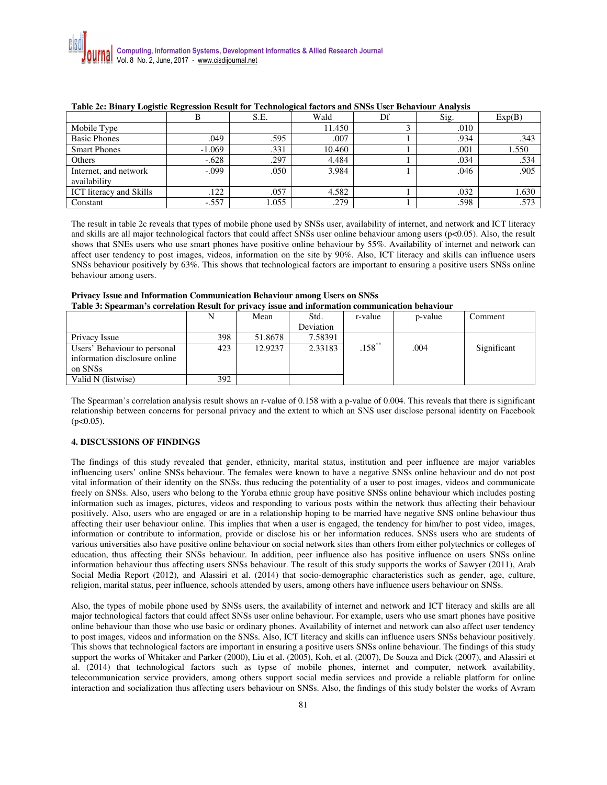| TWARD YOU DILLING TO HAVE THE COALLEL THOMAS TOT THEIRDING INTERNATIONAL WITH AT 100 CARE DELINE ITHING AND |          |       |        |    |      |        |  |
|-------------------------------------------------------------------------------------------------------------|----------|-------|--------|----|------|--------|--|
|                                                                                                             |          | S.E.  | Wald   | Df | Sig. | Exp(B) |  |
| Mobile Type                                                                                                 |          |       | 11.450 |    | .010 |        |  |
| <b>Basic Phones</b>                                                                                         | .049     | .595  | .007   |    | .934 | .343   |  |
| <b>Smart Phones</b>                                                                                         | $-1.069$ | .331  | 10.460 |    | .001 | 1.550  |  |
| Others                                                                                                      | $-.628$  | .297  | 4.484  |    | .034 | .534   |  |
| Internet, and network<br>availability                                                                       | $-.099$  | .050  | 3.984  |    | .046 | .905   |  |
| <b>ICT</b> literacy and Skills                                                                              | .122     | .057  | 4.582  |    | .032 | 1.630  |  |
| Constant                                                                                                    | $-.557$  | 1.055 | .279   |    | .598 | .573   |  |

#### **Table 2c: Binary Logistic Regression Result for Technological factors and SNSs User Behaviour Analysis**

The result in table 2c reveals that types of mobile phone used by SNSs user, availability of internet, and network and ICT literacy and skills are all major technological factors that could affect SNSs user online behaviour among users (p<0.05). Also, the result shows that SNEs users who use smart phones have positive online behaviour by 55%. Availability of internet and network can affect user tendency to post images, videos, information on the site by 90%. Also, ICT literacy and skills can influence users SNSs behaviour positively by 63%. This shows that technological factors are important to ensuring a positive users SNSs online behaviour among users.

| тамк эт мреагнал в согтемной кеван гог рггтаст ввас ана ниогналой сопитансатой юсна тоат |     |         |           |           |         |             |
|------------------------------------------------------------------------------------------|-----|---------|-----------|-----------|---------|-------------|
|                                                                                          |     | Mean    | Std.      | r-value   | p-value | Comment     |
|                                                                                          |     |         | Deviation |           |         |             |
| Privacy Issue                                                                            | 398 | 51.8678 | 7.58391   |           |         |             |
| Users' Behaviour to personal                                                             | 423 | 12.9237 | 2.33183   | $.158***$ | .004    | Significant |
| information disclosure online                                                            |     |         |           |           |         |             |
| on SNSs                                                                                  |     |         |           |           |         |             |
| Valid N (listwise)                                                                       | 392 |         |           |           |         |             |

#### **Privacy Issue and Information Communication Behaviour among Users on SNSs Table 3: Spearman's correlation Result for privacy issue and information communication behaviour**

The Spearman's correlation analysis result shows an r-value of 0.158 with a p-value of 0.004. This reveals that there is significant relationship between concerns for personal privacy and the extent to which an SNS user disclose personal identity on Facebook  $(p<0.05)$ .

## **4. DISCUSSIONS OF FINDINGS**

The findings of this study revealed that gender, ethnicity, marital status, institution and peer influence are major variables influencing users' online SNSs behaviour. The females were known to have a negative SNSs online behaviour and do not post vital information of their identity on the SNSs, thus reducing the potentiality of a user to post images, videos and communicate freely on SNSs. Also, users who belong to the Yoruba ethnic group have positive SNSs online behaviour which includes posting information such as images, pictures, videos and responding to various posts within the network thus affecting their behaviour positively. Also, users who are engaged or are in a relationship hoping to be married have negative SNS online behaviour thus affecting their user behaviour online. This implies that when a user is engaged, the tendency for him/her to post video, images, information or contribute to information, provide or disclose his or her information reduces. SNSs users who are students of various universities also have positive online behaviour on social network sites than others from either polytechnics or colleges of education, thus affecting their SNSs behaviour. In addition, peer influence also has positive influence on users SNSs online information behaviour thus affecting users SNSs behaviour. The result of this study supports the works of Sawyer (2011), Arab Social Media Report (2012), and Alassiri et al. (2014) that socio-demographic characteristics such as gender, age, culture, religion, marital status, peer influence, schools attended by users, among others have influence users behaviour on SNSs.

Also, the types of mobile phone used by SNSs users, the availability of internet and network and ICT literacy and skills are all major technological factors that could affect SNSs user online behaviour. For example, users who use smart phones have positive online behaviour than those who use basic or ordinary phones. Availability of internet and network can also affect user tendency to post images, videos and information on the SNSs. Also, ICT literacy and skills can influence users SNSs behaviour positively. This shows that technological factors are important in ensuring a positive users SNSs online behaviour. The findings of this study support the works of Whitaker and Parker (2000), Liu et al. (2005), Koh, et al. (2007), De Souza and Dick (2007), and Alassiri et al. (2014) that technological factors such as typse of mobile phones, internet and computer, network availability, telecommunication service providers, among others support social media services and provide a reliable platform for online interaction and socialization thus affecting users behaviour on SNSs. Also, the findings of this study bolster the works of Avram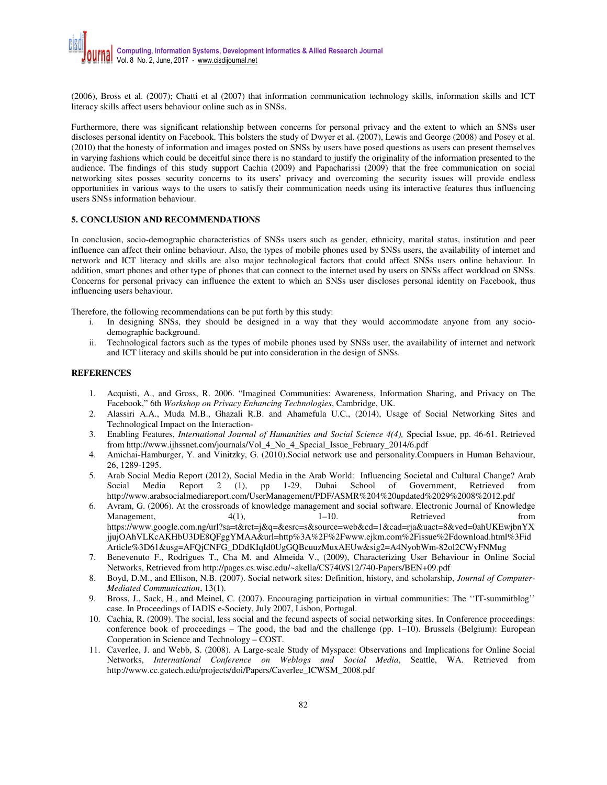(2006), Bross et al. (2007); Chatti et al (2007) that information communication technology skills, information skills and ICT literacy skills affect users behaviour online such as in SNSs.

Furthermore, there was significant relationship between concerns for personal privacy and the extent to which an SNSs user discloses personal identity on Facebook. This bolsters the study of Dwyer et al. (2007), Lewis and George (2008) and Posey et al. (2010) that the honesty of information and images posted on SNSs by users have posed questions as users can present themselves in varying fashions which could be deceitful since there is no standard to justify the originality of the information presented to the audience. The findings of this study support Cachia (2009) and Papacharissi (2009) that the free communication on social networking sites posses security concerns to its users' privacy and overcoming the security issues will provide endless opportunities in various ways to the users to satisfy their communication needs using its interactive features thus influencing users SNSs information behaviour.

#### **5. CONCLUSION AND RECOMMENDATIONS**

In conclusion, socio-demographic characteristics of SNSs users such as gender, ethnicity, marital status, institution and peer influence can affect their online behaviour. Also, the types of mobile phones used by SNSs users, the availability of internet and network and ICT literacy and skills are also major technological factors that could affect SNSs users online behaviour. In addition, smart phones and other type of phones that can connect to the internet used by users on SNSs affect workload on SNSs. Concerns for personal privacy can influence the extent to which an SNSs user discloses personal identity on Facebook, thus influencing users behaviour.

Therefore, the following recommendations can be put forth by this study:

- i. In designing SNSs, they should be designed in a way that they would accommodate anyone from any sociodemographic background.
- ii. Technological factors such as the types of mobile phones used by SNSs user, the availability of internet and network and ICT literacy and skills should be put into consideration in the design of SNSs.

#### **REFERENCES**

- 1. Acquisti, A., and Gross, R. 2006. "Imagined Communities: Awareness, Information Sharing, and Privacy on The Facebook," 6th *Workshop on Privacy Enhancing Technologies*, Cambridge, UK.
- 2. Alassiri A.A., Muda M.B., Ghazali R.B. and Ahamefula U.C., (2014), Usage of Social Networking Sites and Technological Impact on the Interaction-
- 3. Enabling Features, *International Journal of Humanities and Social Science 4(4),* Special Issue, pp. 46-61. Retrieved from http://www.ijhssnet.com/journals/Vol\_4\_No\_4\_Special\_Issue\_February\_2014/6.pdf
- 4. Amichai-Hamburger, Y. and Vinitzky, G. (2010).Social network use and personality.Compuers in Human Behaviour, 26, 1289-1295.
- 5. Arab Social Media Report (2012), Social Media in the Arab World: Influencing Societal and Cultural Change? Arab Social Media Report 2 (1), pp 1-29, Dubai School of Government, Retrieved from http://www.arabsocialmediareport.com/UserManagement/PDF/ASMR%204%20updated%2029%2008%2012.pdf
- 6. Avram, G. (2006). At the crossroads of knowledge management and social software. Electronic Journal of Knowledge Management,  $4(1)$ ,  $1-10$ . Retrieved from https://www.google.com.ng/url?sa=t&rct=j&q=&esrc=s&source=web&cd=1&cad=rja&uact=8&ved=0ahUKEwjbnYX jjujOAhVLKcAKHbU3DE8QFggYMAA&url=http%3A%2F%2Fwww.ejkm.com%2Fissue%2Fdownload.html%3Fid Article%3D61&usg=AFQjCNFG\_DDdKIqId0UgGQBcuuzMuxAEUw&sig2=A4NyobWm-82ol2CWyFNMug
- 7. Benevenuto F., Rodrigues T., Cha M. and Almeida V., (2009), Characterizing User Behaviour in Online Social Networks, Retrieved from http://pages.cs.wisc.edu/~akella/CS740/S12/740-Papers/BEN+09.pdf
- 8. Boyd, D.M., and Ellison, N.B. (2007). Social network sites: Definition, history, and scholarship, *Journal of Computer-Mediated Communication*, 13(1).
- 9. Bross, J., Sack, H., and Meinel, C. (2007). Encouraging participation in virtual communities: The ''IT-summitblog'' case. In Proceedings of IADIS e-Society, July 2007, Lisbon, Portugal.
- 10. Cachia, R. (2009). The social, less social and the fecund aspects of social networking sites. In Conference proceedings: conference book of proceedings – The good, the bad and the challenge (pp. 1–10). Brussels (Belgium): European Cooperation in Science and Technology – COST.
- 11. Caverlee, J. and Webb, S. (2008). A Large-scale Study of Myspace: Observations and Implications for Online Social Networks, *International Conference on Weblogs and Social Media*, Seattle, WA. Retrieved from http://www.cc.gatech.edu/projects/doi/Papers/Caverlee\_ICWSM\_2008.pdf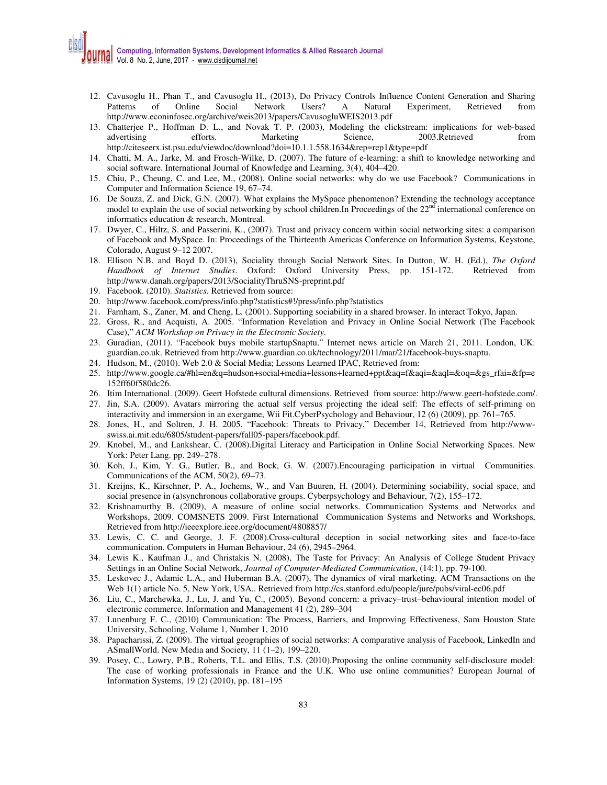- 12. Cavusoglu H., Phan T., and Cavusoglu H., (2013), Do Privacy Controls Influence Content Generation and Sharing Patterns of Online Social Network Users? A Natural Experiment, Retrieved from http://www.econinfosec.org/archive/weis2013/papers/CavusogluWEIS2013.pdf
- 13. Chatterjee P., Hoffman D. L., and Novak T. P. (2003), Modeling the clickstream: implications for web-based advertising efforts. Marketing Science, 2003.Retrieved from http://citeseerx.ist.psu.edu/viewdoc/download?doi=10.1.1.558.1634&rep=rep1&type=pdf
- 14. Chatti, M. A., Jarke, M. and Frosch-Wilke, D. (2007). The future of e-learning: a shift to knowledge networking and social software. International Journal of Knowledge and Learning, 3(4), 404–420.
- 15. Chiu, P., Cheung, C. and Lee, M., (2008). Online social networks: why do we use Facebook? Communications in Computer and Information Science 19, 67–74.
- 16. De Souza, Z. and Dick, G.N. (2007). What explains the MySpace phenomenon? Extending the technology acceptance model to explain the use of social networking by school children.In Proceedings of the  $22<sup>nd</sup>$  international conference on informatics education & research, Montreal.
- 17. Dwyer, C., Hiltz, S. and Passerini, K., (2007). Trust and privacy concern within social networking sites: a comparison of Facebook and MySpace. In: Proceedings of the Thirteenth Americas Conference on Information Systems, Keystone, Colorado, August 9–12 2007.
- 18. Ellison N.B. and Boyd D. (2013), Sociality through Social Network Sites. In Dutton, W. H. (Ed.), *The Oxford Handbook of Internet Studies*. Oxford: Oxford University Press, pp. 151-172. Retrieved from http://www.danah.org/papers/2013/SocialityThruSNS-preprint.pdf
- 19. Facebook. (2010). *Statistics*. Retrieved from source:
- 20. http://www.facebook.com/press/info.php?statistics#!/press/info.php?statistics
- 21. Farnham, S., Zaner, M. and Cheng, L. (2001). Supporting sociability in a shared browser. In interact Tokyo, Japan.
- 22. Gross, R., and Acquisti, A. 2005. "Information Revelation and Privacy in Online Social Network (The Facebook Case)," *ACM Workshop on Privacy in the Electronic Society*.
- 23. Guradian, (2011). "Facebook buys mobile startupSnaptu." Internet news article on March 21, 2011. London, UK: guardian.co.uk. Retrieved from http://www.guardian.co.uk/technology/2011/mar/21/facebook-buys-snaptu.
- 24. Hudson, M., (2010). Web 2.0 & Social Media; Lessons Learned IPAC, Retrieved from:
- 25. http://www.google.ca/#hl=en&q=hudson+social+media+lessons+learned+ppt&aq=f&aqi=&aql=&oq=&gs\_rfai=&fp=e 152ff60f580dc26.
- 26. Itim International. (2009). Geert Hofstede cultural dimensions. Retrieved from source: http://www.geert-hofstede.com/.
- 27. Jin, S.A. (2009). Avatars mirroring the actual self versus projecting the ideal self: The effects of self-priming on interactivity and immersion in an exergame, Wii Fit.CyberPsychology and Behaviour, 12 (6) (2009), pp. 761–765.
- 28. Jones, H., and Soltren, J. H. 2005. "Facebook: Threats to Privacy," December 14, Retrieved from http://wwwswiss.ai.mit.edu/6805/student-papers/fall05-papers/facebook.pdf.
- 29. Knobel, M., and Lankshear, C. (2008).Digital Literacy and Participation in Online Social Networking Spaces. New York: Peter Lang. pp. 249–278.
- 30. Koh, J., Kim, Y. G., Butler, B., and Bock, G. W. (2007).Encouraging participation in virtual Communities. Communications of the ACM, 50(2), 69–73.
- 31. Kreijns, K., Kirschner, P. A., Jochems, W., and Van Buuren, H. (2004). Determining sociability, social space, and social presence in (a)synchronous collaborative groups. Cyberpsychology and Behaviour, 7(2), 155–172.
- 32. Krishnamurthy B. (2009), A measure of online social networks. Communication Systems and Networks and Workshops, 2009. COMSNETS 2009. First International Communication Systems and Networks and Workshops, Retrieved from http://ieeexplore.ieee.org/document/4808857/
- 33. Lewis, C. C. and George, J. F. (2008).Cross-cultural deception in social networking sites and face-to-face communication. Computers in Human Behaviour, 24 (6), 2945–2964.
- 34. Lewis K., Kaufman J., and Christakis N. (2008), The Taste for Privacy: An Analysis of College Student Privacy Settings in an Online Social Network, *Journal of Computer-Mediated Communication*, (14:1), pp. 79-100.
- 35. Leskovec J., Adamic L.A., and Huberman B.A. (2007), The dynamics of viral marketing. ACM Transactions on the Web 1(1) article No. 5, New York, USA.. Retrieved from http://cs.stanford.edu/people/jure/pubs/viral-ec06.pdf
- 36. Liu, C., Marchewka, J., Lu, J. and Yu, C., (2005). Beyond concern: a privacy–trust–behavioural intention model of electronic commerce. Information and Management 41 (2), 289–304
- 37. Lunenburg F. C., (2010) Communication: The Process, Barriers, and Improving Effectiveness, Sam Houston State University, Schooling, Volume 1, Number 1, 2010
- 38. Papacharissi, Z. (2009). The virtual geographies of social networks: A comparative analysis of Facebook, LinkedIn and ASmallWorld. New Media and Society, 11 (1–2), 199–220.
- 39. Posey, C., Lowry, P.B., Roberts, T.L. and Ellis, T.S. (2010).Proposing the online community self-disclosure model: The case of working professionals in France and the U.K. Who use online communities? European Journal of Information Systems, 19 (2) (2010), pp. 181–195